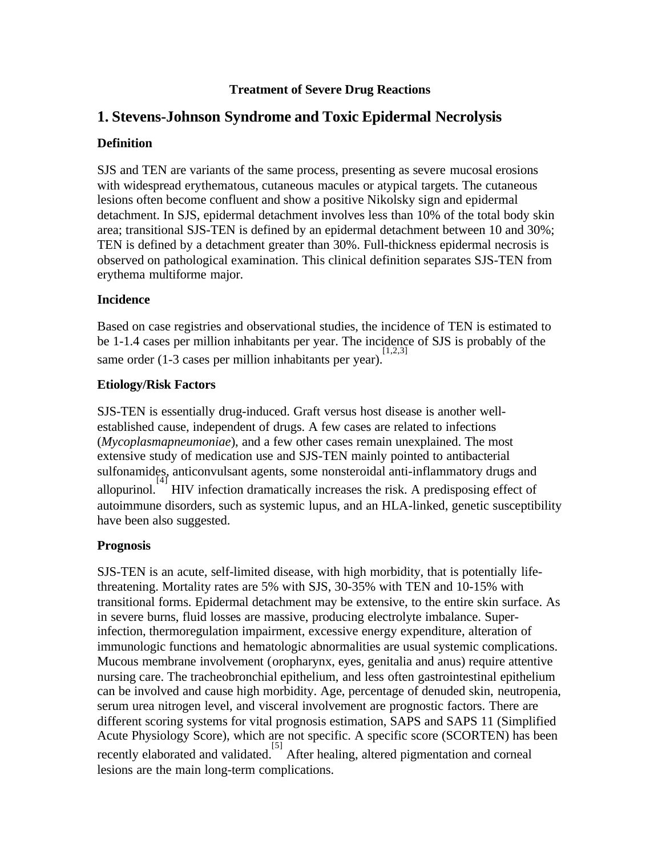### **Treatment of Severe Drug Reactions**

## **1. Stevens-Johnson Syndrome and Toxic Epidermal Necrolysis**

### **Definition**

SJS and TEN are variants of the same process, presenting as severe mucosal erosions with widespread erythematous, cutaneous macules or atypical targets. The cutaneous lesions often become confluent and show a positive Nikolsky sign and epidermal detachment. In SJS, epidermal detachment involves less than 10% of the total body skin area; transitional SJS-TEN is defined by an epidermal detachment between 10 and 30%; TEN is defined by a detachment greater than 30%. Full-thickness epidermal necrosis is observed on pathological examination. This clinical definition separates SJS-TEN from erythema multiforme major.

#### **Incidence**

Based on case registries and observational studies, the incidence of TEN is estimated to be 1-1.4 cases per million inhabitants per year. The incidence of SJS is probably of the same order  $(1-3$  cases per million inhabitants per year).

#### **Etiology/Risk Factors**

SJS-TEN is essentially drug-induced. Graft versus host disease is another wellestablished cause, independent of drugs. A few cases are related to infections (*Mycoplasmapneumoniae*), and a few other cases remain unexplained. The most extensive study of medication use and SJS-TEN mainly pointed to antibacterial sulfonamides, anticonvulsant agents, some nonsteroidal anti-inflammatory drugs and allopurinol.<sup>[4]</sup> HIV infection dramatically increases the risk. A predisposing effect of autoimmune disorders, such as systemic lupus, and an HLA-linked, genetic susceptibility have been also suggested.

#### **Prognosis**

SJS-TEN is an acute, self-limited disease, with high morbidity, that is potentially lifethreatening. Mortality rates are 5% with SJS, 30-35% with TEN and 10-15% with transitional forms. Epidermal detachment may be extensive, to the entire skin surface. As in severe burns, fluid losses are massive, producing electrolyte imbalance. Superinfection, thermoregulation impairment, excessive energy expenditure, alteration of immunologic functions and hematologic abnormalities are usual systemic complications. Mucous membrane involvement (oropharynx, eyes, genitalia and anus) require attentive nursing care. The tracheobronchial epithelium, and less often gastrointestinal epithelium can be involved and cause high morbidity. Age, percentage of denuded skin, neutropenia, serum urea nitrogen level, and visceral involvement are prognostic factors. There are different scoring systems for vital prognosis estimation, SAPS and SAPS 11 (Simplified Acute Physiology Score), which are not specific. A specific score (SCORTEN) has been recently elaborated and validated. After healing, altered pigmentation and corneal lesions are the main long-term complications.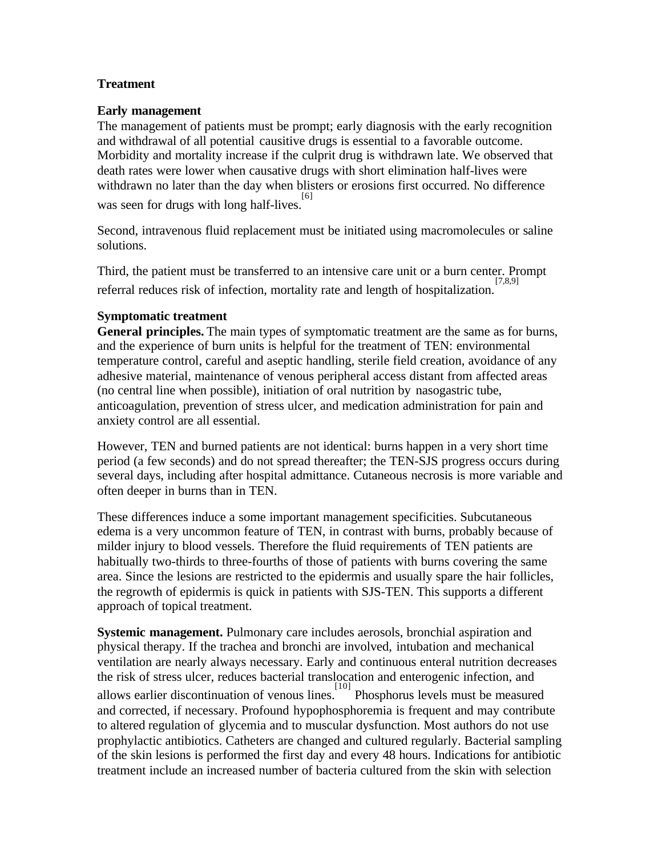### **Treatment**

#### **Early management**

The management of patients must be prompt; early diagnosis with the early recognition and withdrawal of all potential causitive drugs is essential to a favorable outcome. Morbidity and mortality increase if the culprit drug is withdrawn late. We observed that death rates were lower when causative drugs with short elimination half-lives were withdrawn no later than the day when blisters or erosions first occurred. No difference was seen for drugs with long half-lives.<sup>[6]</sup>

Second, intravenous fluid replacement must be initiated using macromolecules or saline solutions.

Third, the patient must be transferred to an intensive care unit or a burn center. Prompt referral reduces risk of infection, mortality rate and length of hospitalization. [7,8,9]

#### **Symptomatic treatment**

**General principles.** The main types of symptomatic treatment are the same as for burns, and the experience of burn units is helpful for the treatment of TEN: environmental temperature control, careful and aseptic handling, sterile field creation, avoidance of any adhesive material, maintenance of venous peripheral access distant from affected areas (no central line when possible), initiation of oral nutrition by nasogastric tube, anticoagulation, prevention of stress ulcer, and medication administration for pain and anxiety control are all essential.

However, TEN and burned patients are not identical: burns happen in a very short time period (a few seconds) and do not spread thereafter; the TEN-SJS progress occurs during several days, including after hospital admittance. Cutaneous necrosis is more variable and often deeper in burns than in TEN.

These differences induce a some important management specificities. Subcutaneous edema is a very uncommon feature of TEN, in contrast with burns, probably because of milder injury to blood vessels. Therefore the fluid requirements of TEN patients are habitually two-thirds to three-fourths of those of patients with burns covering the same area. Since the lesions are restricted to the epidermis and usually spare the hair follicles, the regrowth of epidermis is quick in patients with SJS-TEN. This supports a different approach of topical treatment.

**Systemic management.** Pulmonary care includes aerosols, bronchial aspiration and physical therapy. If the trachea and bronchi are involved, intubation and mechanical ventilation are nearly always necessary. Early and continuous enteral nutrition decreases the risk of stress ulcer, reduces bacterial translocation and enterogenic infection, and allows earlier discontinuation of venous lines. <sup>[10]</sup> Phosphorus levels must be measured and corrected, if necessary. Profound hypophosphoremia is frequent and may contribute to altered regulation of glycemia and to muscular dysfunction. Most authors do not use prophylactic antibiotics. Catheters are changed and cultured regularly. Bacterial sampling of the skin lesions is performed the first day and every 48 hours. Indications for antibiotic treatment include an increased number of bacteria cultured from the skin with selection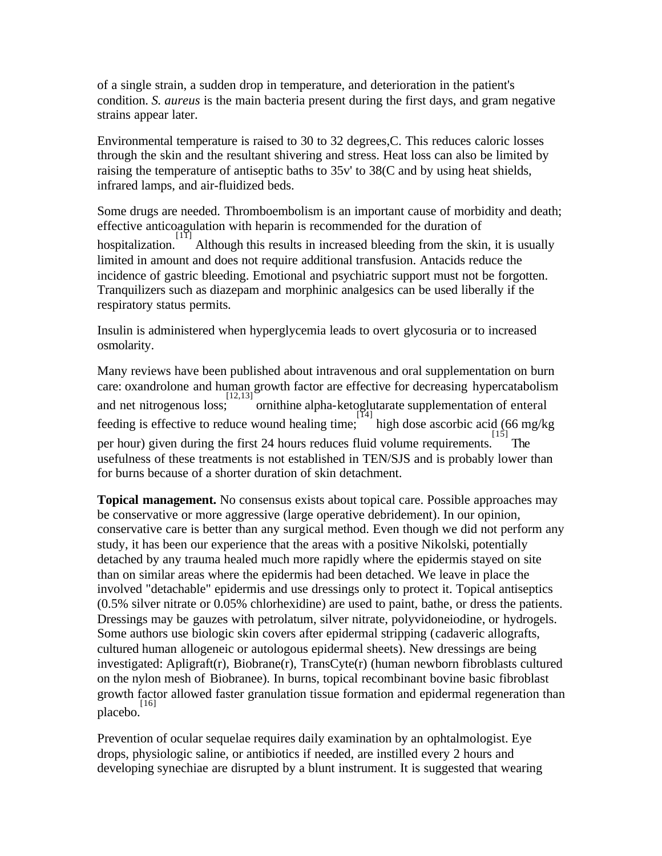of a single strain, a sudden drop in temperature, and deterioration in the patient's condition. *S. aureus* is the main bacteria present during the first days, and gram negative strains appear later.

Environmental temperature is raised to 30 to 32 degrees,C. This reduces caloric losses through the skin and the resultant shivering and stress. Heat loss can also be limited by raising the temperature of antiseptic baths to 35v' to 38(C and by using heat shields, infrared lamps, and air-fluidized beds.

Some drugs are needed. Thromboembolism is an important cause of morbidity and death; effective anticoagulation with heparin is recommended for the duration of hospitalization. [<sup>[11]</sup> Although this results in increased bleeding from the skin, it is usually limited in amount and does not require additional transfusion. Antacids reduce the incidence of gastric bleeding. Emotional and psychiatric support must not be forgotten. Tranquilizers such as diazepam and morphinic analgesics can be used liberally if the respiratory status permits.

Insulin is administered when hyperglycemia leads to overt glycosuria or to increased osmolarity.

Many reviews have been published about intravenous and oral supplementation on burn care: oxandrolone and human growth factor are effective for decreasing hypercatabolism and net nitrogenous loss; [12,13] ornithine alpha-ketoglutarate supplementation of enteral feeding is effective to reduce wound healing time;  $\frac{1}{14}$  high dose ascorbic acid (66 mg/kg) per hour) given during the first 24 hours reduces fluid volume requirements. [15] usefulness of these treatments is not established in TEN/SJS and is probably lower than for burns because of a shorter duration of skin detachment.

**Topical management.** No consensus exists about topical care. Possible approaches may be conservative or more aggressive (large operative debridement). In our opinion, conservative care is better than any surgical method. Even though we did not perform any study, it has been our experience that the areas with a positive Nikolski, potentially detached by any trauma healed much more rapidly where the epidermis stayed on site than on similar areas where the epidermis had been detached. We leave in place the involved "detachable" epidermis and use dressings only to protect it. Topical antiseptics (0.5% silver nitrate or 0.05% chlorhexidine) are used to paint, bathe, or dress the patients. Dressings may be gauzes with petrolatum, silver nitrate, polyvidoneiodine, or hydrogels. Some authors use biologic skin covers after epidermal stripping (cadaveric allografts, cultured human allogeneic or autologous epidermal sheets). New dressings are being investigated: Apligraft(r), Biobrane(r), TransCyte(r) (human newborn fibroblasts cultured on the nylon mesh of Biobranee). In burns, topical recombinant bovine basic fibroblast growth factor allowed faster granulation tissue formation and epidermal regeneration than placebo. [16]

Prevention of ocular sequelae requires daily examination by an ophtalmologist. Eye drops, physiologic saline, or antibiotics if needed, are instilled every 2 hours and developing synechiae are disrupted by a blunt instrument. It is suggested that wearing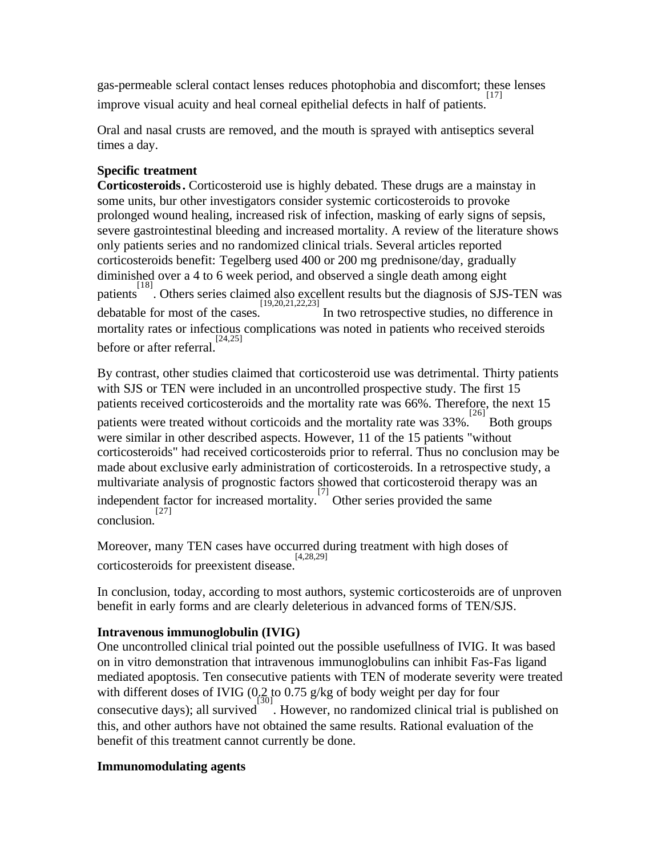gas-permeable scleral contact lenses reduces photophobia and discomfort; these lenses improve visual acuity and heal corneal epithelial defects in half of patients.  $[17]$ 

Oral and nasal crusts are removed, and the mouth is sprayed with antiseptics several times a day.

## **Specific treatment**

**Corticosteroids.** Corticosteroid use is highly debated. These drugs are a mainstay in some units, bur other investigators consider systemic corticosteroids to provoke prolonged wound healing, increased risk of infection, masking of early signs of sepsis, severe gastrointestinal bleeding and increased mortality. A review of the literature shows only patients series and no randomized clinical trials. Several articles reported corticosteroids benefit: Tegelberg used 400 or 200 mg prednisone/day, gradually diminished over a 4 to 6 week period, and observed a single death among eight patients [18] . Others series claimed also excellent results but the diagnosis of SJS-TEN was debatable for most of the cases. [19,20,21,22,23] In two retrospective studies, no difference in mortality rates or infectious complications was noted in patients who received steroids before or after referral. [24,25]

By contrast, other studies claimed that corticosteroid use was detrimental. Thirty patients with SJS or TEN were included in an uncontrolled prospective study. The first 15 patients received corticosteroids and the mortality rate was 66%. Therefore, the next 15 erm in the mortality rate was 33%.<sup>[26]</sup> Both groups patients were treated without corticoids and the mortality rate was 33%. <sup>[26]</sup> Both groups were similar in other described aspects. However, 11 of the 15 patients "without corticosteroids" had received corticosteroids prior to referral. Thus no conclusion may be made about exclusive early administration of corticosteroids. In a retrospective study, a multivariate analysis of prognostic factors showed that corticosteroid therapy was an independent factor for increased mortality.<sup>[7]</sup> Other series provided the same conclusion. [27]

Moreover, many TEN cases have occurred during treatment with high doses of corticosteroids for preexistent disease. [4,28,29]

In conclusion, today, according to most authors, systemic corticosteroids are of unproven benefit in early forms and are clearly deleterious in advanced forms of TEN/SJS.

## **Intravenous immunoglobulin (IVIG)**

One uncontrolled clinical trial pointed out the possible usefullness of IVIG. It was based on in vitro demonstration that intravenous immunoglobulins can inhibit Fas-Fas ligand mediated apoptosis. Ten consecutive patients with TEN of moderate severity were treated with different doses of IVIG (0.2 to 0.75 g/kg of body weight per day for four consecutive days); all survived . However, no randomized clinical trial is published on this, and other authors have not obtained the same results. Rational evaluation of the benefit of this treatment cannot currently be done.

## **Immunomodulating agents**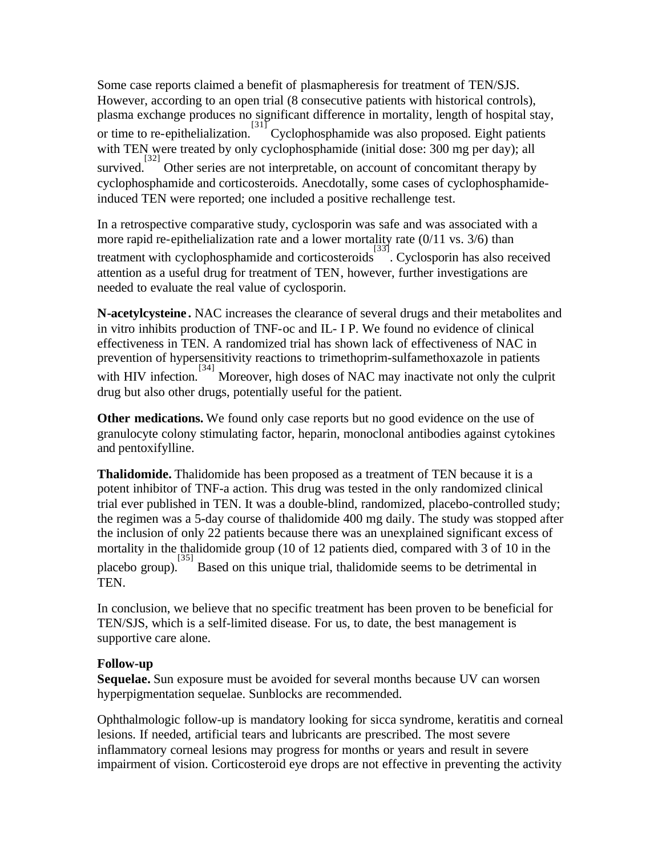Some case reports claimed a benefit of plasmapheresis for treatment of TEN/SJS. However, according to an open trial (8 consecutive patients with historical controls), plasma exchange produces no significant difference in mortality, length of hospital stay, or time to re-epithelialization. [31]<br>Cyclophosphamide was also proposed. Eight patients with TEN were treated by only cyclophosphamide (initial dose: 300 mg per day); all survived. <sup>[32]</sup> Other series are not interpretable, on account of concomitant therapy by cyclophosphamide and corticosteroids. Anecdotally, some cases of cyclophosphamideinduced TEN were reported; one included a positive rechallenge test.

In a retrospective comparative study, cyclosporin was safe and was associated with a more rapid re-epithelialization rate and a lower mortality rate (0/11 vs. 3/6) than treatment with cyclophosphamide and corticosteroids [33] . Cyclosporin has also received attention as a useful drug for treatment of TEN, however, further investigations are needed to evaluate the real value of cyclosporin.

**N-acetylcysteine .** NAC increases the clearance of several drugs and their metabolites and in vitro inhibits production of TNF-oc and IL- I P. We found no evidence of clinical effectiveness in TEN. A randomized trial has shown lack of effectiveness of NAC in prevention of hypersensitivity reactions to trimethoprim-sulfamethoxazole in patients with HIV infection.<sup>[34]</sup> Moreover, high doses of NAC may inactivate not only the culprit drug but also other drugs, potentially useful for the patient.

**Other medications.** We found only case reports but no good evidence on the use of granulocyte colony stimulating factor, heparin, monoclonal antibodies against cytokines and pentoxifylline.

**Thalidomide.** Thalidomide has been proposed as a treatment of TEN because it is a potent inhibitor of TNF-a action. This drug was tested in the only randomized clinical trial ever published in TEN. It was a double-blind, randomized, placebo-controlled study; the regimen was a 5-day course of thalidomide 400 mg daily. The study was stopped after the inclusion of only 22 patients because there was an unexplained significant excess of mortality in the thalidomide group (10 of 12 patients died, compared with 3 of 10 in the placebo group). [35] Based on this unique trial, thalidomide seems to be detrimental in TEN.

In conclusion, we believe that no specific treatment has been proven to be beneficial for TEN/SJS, which is a self-limited disease. For us, to date, the best management is supportive care alone.

#### **Follow-up**

**Sequelae.** Sun exposure must be avoided for several months because UV can worsen hyperpigmentation sequelae. Sunblocks are recommended.

Ophthalmologic follow-up is mandatory looking for sicca syndrome, keratitis and corneal lesions. If needed, artificial tears and lubricants are prescribed. The most severe inflammatory corneal lesions may progress for months or years and result in severe impairment of vision. Corticosteroid eye drops are not effective in preventing the activity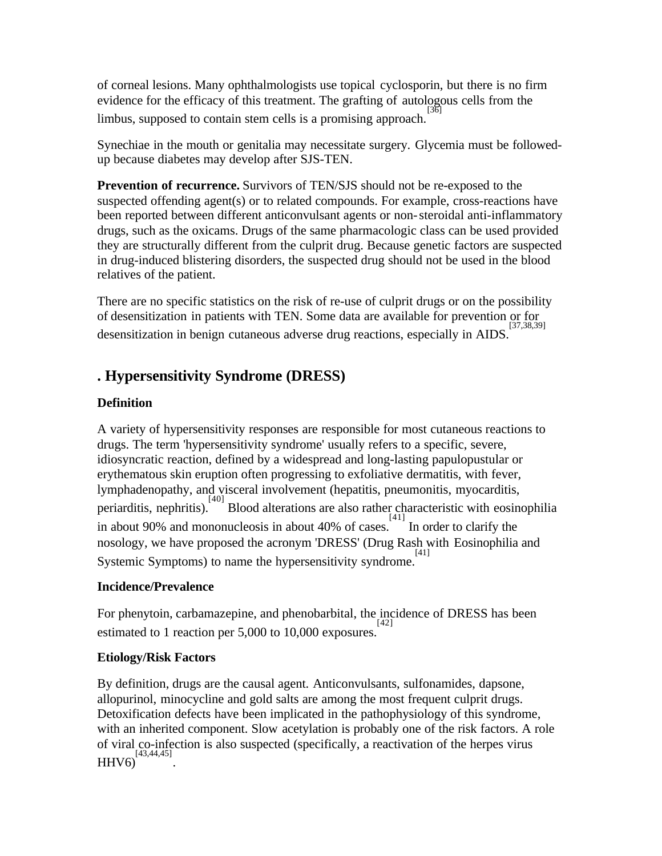of corneal lesions. Many ophthalmologists use topical cyclosporin, but there is no firm evidence for the efficacy of this treatment. The grafting of autologous cells from the limbus, supposed to contain stem cells is a promising approach. [36]

Synechiae in the mouth or genitalia may necessitate surgery. Glycemia must be followedup because diabetes may develop after SJS-TEN.

**Prevention of recurrence.** Survivors of TEN/SJS should not be re-exposed to the suspected offending agent(s) or to related compounds. For example, cross-reactions have been reported between different anticonvulsant agents or non-steroidal anti-inflammatory drugs, such as the oxicams. Drugs of the same pharmacologic class can be used provided they are structurally different from the culprit drug. Because genetic factors are suspected in drug-induced blistering disorders, the suspected drug should not be used in the blood relatives of the patient.

There are no specific statistics on the risk of re-use of culprit drugs or on the possibility of desensitization in patients with TEN. Some data are available for prevention or for desensitization in benign cutaneous adverse drug reactions, especially in AIDS. [37,38,39]

# **. Hypersensitivity Syndrome (DRESS)**

## **Definition**

A variety of hypersensitivity responses are responsible for most cutaneous reactions to drugs. The term 'hypersensitivity syndrome' usually refers to a specific, severe, idiosyncratic reaction, defined by a widespread and long-lasting papulopustular or erythematous skin eruption often progressing to exfoliative dermatitis, with fever, lymphadenopathy, and visceral involvement (hepatitis, pneumonitis, myocarditis,  $\sum_{i=1}^{n}$  periarditis, nephritis). Blood alterations are also rather characteristic with eosinophilia in about 90% and mononucleosis in about 40% of cases. In order to clarify the nosology, we have proposed the acronym 'DRESS' (Drug Rash with Eosinophilia and Systemic Symptoms) to name the hypersensitivity syndrome.<sup>[41]</sup>

## **Incidence/Prevalence**

For phenytoin, carbamazepine, and phenobarbital, the incidence of DRESS has been estimated to 1 reaction per 5,000 to 10,000 exposures.  $^{[42]}$ 

## **Etiology/Risk Factors**

By definition, drugs are the causal agent. Anticonvulsants, sulfonamides, dapsone, allopurinol, minocycline and gold salts are among the most frequent culprit drugs. Detoxification defects have been implicated in the pathophysiology of this syndrome, with an inherited component. Slow acetylation is probably one of the risk factors. A role of viral co-infection is also suspected (specifically, a reactivation of the herpes virus HHV6) [43,44,45] .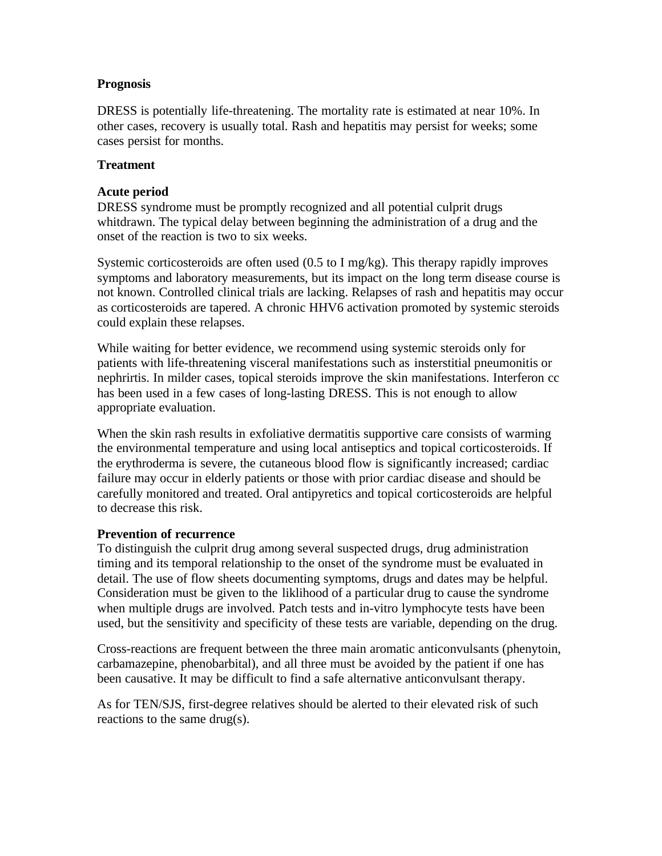#### **Prognosis**

DRESS is potentially life-threatening. The mortality rate is estimated at near 10%. In other cases, recovery is usually total. Rash and hepatitis may persist for weeks; some cases persist for months.

#### **Treatment**

#### **Acute period**

DRESS syndrome must be promptly recognized and all potential culprit drugs whitdrawn. The typical delay between beginning the administration of a drug and the onset of the reaction is two to six weeks.

Systemic corticosteroids are often used (0.5 to I mg/kg). This therapy rapidly improves symptoms and laboratory measurements, but its impact on the long term disease course is not known. Controlled clinical trials are lacking. Relapses of rash and hepatitis may occur as corticosteroids are tapered. A chronic HHV6 activation promoted by systemic steroids could explain these relapses.

While waiting for better evidence, we recommend using systemic steroids only for patients with life-threatening visceral manifestations such as insterstitial pneumonitis or nephrirtis. In milder cases, topical steroids improve the skin manifestations. Interferon cc has been used in a few cases of long-lasting DRESS. This is not enough to allow appropriate evaluation.

When the skin rash results in exfoliative dermatitis supportive care consists of warming the environmental temperature and using local antiseptics and topical corticosteroids. If the erythroderma is severe, the cutaneous blood flow is significantly increased; cardiac failure may occur in elderly patients or those with prior cardiac disease and should be carefully monitored and treated. Oral antipyretics and topical corticosteroids are helpful to decrease this risk.

#### **Prevention of recurrence**

To distinguish the culprit drug among several suspected drugs, drug administration timing and its temporal relationship to the onset of the syndrome must be evaluated in detail. The use of flow sheets documenting symptoms, drugs and dates may be helpful. Consideration must be given to the liklihood of a particular drug to cause the syndrome when multiple drugs are involved. Patch tests and in-vitro lymphocyte tests have been used, but the sensitivity and specificity of these tests are variable, depending on the drug.

Cross-reactions are frequent between the three main aromatic anticonvulsants (phenytoin, carbamazepine, phenobarbital), and all three must be avoided by the patient if one has been causative. It may be difficult to find a safe alternative anticonvulsant therapy.

As for TEN/SJS, first-degree relatives should be alerted to their elevated risk of such reactions to the same drug(s).